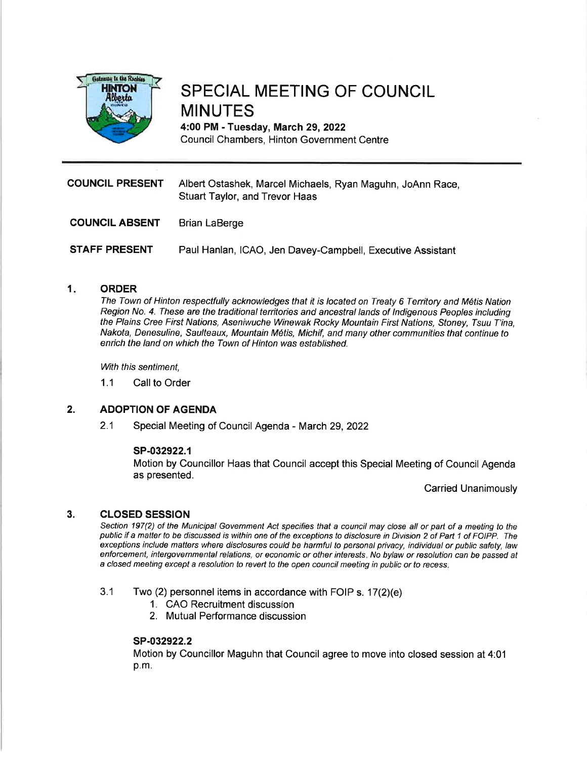

# SPECIAL MEETING OF COUNCIL MINUTES

4:00 PM - Tuesday, March 29, 2022 Council Chambers, Hinton Government Centre

| <b>COUNCIL PRESENT</b> | Albert Ostashek, Marcel Michaels, Ryan Maguhn, JoAnn Race,<br>Stuart Taylor, and Trevor Haas |
|------------------------|----------------------------------------------------------------------------------------------|
| <b>COUNCIL ABSENT</b>  | Brian LaBerge                                                                                |
| <b>STAFF PRESENT</b>   | Paul Hanlan, ICAO, Jen Davey-Campbell, Executive Assistant                                   |

#### $1<sub>i</sub>$ **ORDER**

The Town of Hinton respectfully acknowledges that it is located on Treaty 6 Territory and M6tis Nation Region No. 4. These are the traditional territories and ancestral lands of Indigenous Peoples including the Plains Cree First Nations, Aseniwuche Winewak Rocky Mountain First Nations, Stoney, Tsuu T'ina, Nakota, Denesuline, Saulteaux, Mountain M6tis, Michif, and many other communities that continue to enrich the land on which the Town of Hinton was established.

With this sentiment.

1.1 Call to Order

#### ADOPTION OF AGENDA 2.

2.1 Special Meeting of Council Agenda - March 29,2022

### sP-032922.1

Motion by Councillor Haas that Council accept this Special Meeting of Council Agenda as presented.

Carried Unanimously

#### cLosED sEssroN 3.

Section 197(2) of the Municipal Government Act specifies that a council may close all or part of a meeting to the public if a matter to be discussed is within one of the exceptions to disclosure in Division 2 of Part 1 of FOIPP. The exceptions include matters where disclosures could be harmful to personal privacy, individual or public safety, law enforcement, intergovernmental relations, or economic or other interesfs. No bylaw or resolution can be passed af a closed meeting except a resolution to reveft to the open council meeting in public or to recess.

- $3.1$  Two (2) personnel items in accordance with FOIP s. 17(2)(e)
	- 1. CAO Recruitment discussion
	- 2. Mutual Performance discussion

### sP-032922.2

Motion by Councillor Maguhn that Council agree to move into closed session at 4:01 p.m.